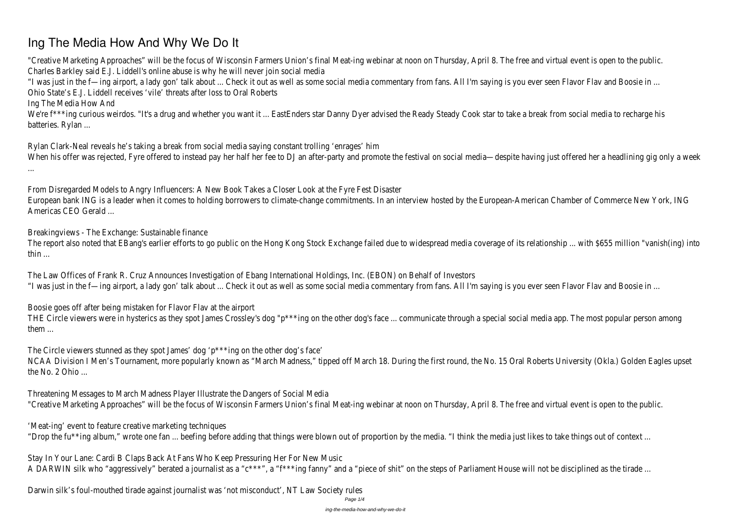# **Ing The Media How And Why We Do It**

"Creative Marketing Approaches" will be the focus of Wisconsin Farmers Union's final Meat-ing webinar at noon on Thursday, April 8. The free and virtual event is op Charles Barkley said E.J. Liddell's online abuse is why he will never join social media

"I was just in the f—ing airport, a lady gon' talk about ... Check it out as well as some social media commentary from fans. All I'm saying is you ever seen Flavor Flav Ohio State's E.J. Liddell receives 'vile' threats after loss to Oral Roberts

We're f\*\*\*ing curious weirdos. "It's a drug and whether you want it ... EastEnders star Danny Dyer advised the Ready Steady Cook star to take a break from social m batteries. Rylan ...

Ing The Media How And

The report also noted that EBang's earlier efforts to go public on the Hong Kong Stock Exchange failed due to widespread media coverage of its relationship ... with thin ...

The Law Offices of Frank R. Cruz Announces Investigation of Ebang International Holdings, Inc. (EBON) on Behalf of Investors "I was just in the f—ing airport, a lady gon' talk about ... Check it out as well as some social media commentary from fans. All I'm saying is you ever seen Flavor Flav

Rylan Clark-Neal reveals he's taking a break from social media saying constant trolling 'enrages' him When his offer was rejected, Fyre offered to instead pay her half her fee to DJ an after-party and promote the festival on social media—despite having just offered l ...

THE Circle viewers were in hysterics as they spot James Crossley's dog "p\*\*\*ing on the other dog's face ... communicate through a special social media app. The mos them ...

From Disregarded Models to Angry Influencers: A New Book Takes a Closer Look at the Fyre Fest Disaster European bank ING is a leader when it comes to holding borrowers to climate-change commitments. In an interview hosted by the European-American Chamber of Commerce New York, Ing an interview hosted by the European-American Americas CEO Gerald ...

NCAA Division I Men's Tournament, more popularly known as "March Madness," tipped off March 18. During the first round, the No. 15 Oral Roberts University (Okla.) the No. 2 Ohio ...

Threatening Messages to March Madness Player Illustrate the Dangers of Social Media "Creative Marketing Approaches" will be the focus of Wisconsin Farmers Union's final Meat-ing webinar at noon on Thursday, April 8. The free and virtual event is op

'Meat-ing' event to feature creative marketing techniques "Drop the fu\*\*ing album," wrote one fan ... beefing before adding that things were blown out of proportion by the media. "I think the media just likes to take things o

Breakingviews - The Exchange: Sustainable finance

Stay In Your Lane: Cardi B Claps Back At Fans Who Keep Pressuring Her For New Music A DARWIN silk who "aggressively" berated a journalist as a "c\*\*\*", a "f\*\*\*ing fanny" and a "piece of shit" on the steps of Parliament House will not be disciplined as the

Boosie goes off after being mistaken for Flavor Flav at the airport

The Circle viewers stunned as they spot James' dog 'p\*\*\*ing on the other dog's face'

Darwin silk's foul-mouthed tirade against journalist was 'not misconduct', NT Law Society rules

Page 1/4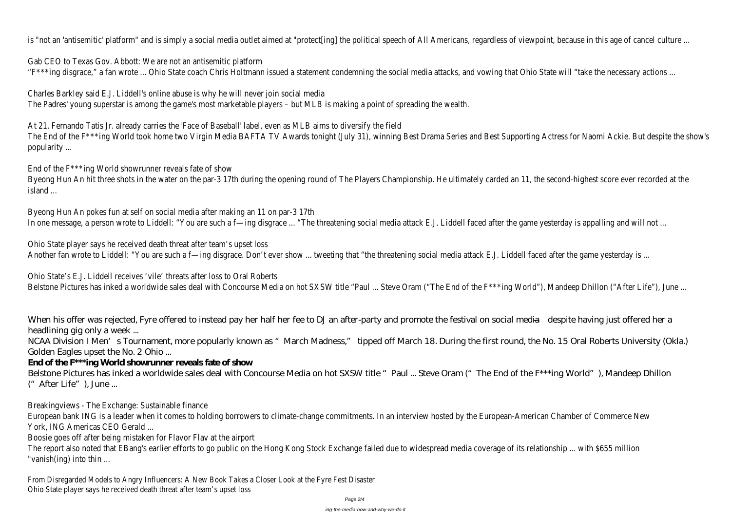is "not an 'antisemitic' platform" and is simply a social media outlet aimed at "protect[ing] the political speech of All Americans, regardless of viewpoint, because in the social media outlet aimed at "protect[ing] the po

Gab CEO to Texas Gov. Abbott: We are not an antisemitic platform "F\*\*\*ing disgrace," a fan wrote ... Ohio State coach Chris Holtmann issued a statement condemning the social media attacks, and vowing that Ohio State will "take the necessary actions ... Ohio State will "take the necessar

Charles Barkley said E.J. Liddell's online abuse is why he will never join social media The Padres' young superstar is among the game's most marketable players – but MLB is making a point of spreading the wealth.

Byeong Hun An hit three shots in the water on the par-3 17th during the opening round of The Players Championship. He ultimately carded an 11, the second-highes island ...

Byeong Hun An pokes fun at self on social media after making an 11 on par-3 17th In one message, a person wrote to Liddell: "You are such a f-ing disgrace ... "The threatening social media attack E.J. Liddell faced after the game yesterday is appal

Ohio State player says he received death threat after team's upset loss Another fan wrote to Liddell: "You are such a f—ing disgrace. Don't ever show ... tweeting that "the threatening social media attack E.J. Liddell faced after the game

At 21, Fernando Tatis Jr. already carries the 'Face of Baseball' label, even as MLB aims to diversify the field The End of the F<sup>\*\*\*</sup>ing World took home two Virgin Media BAFTA TV Awards tonight (July 31), winning Best Drama Series and Best Supporting Actress for Naomi Ack popularity ...

Ohio State's E.J. Liddell receives 'vile' threats after loss to Oral Roberts Belstone Pictures has inked a worldwide sales deal with Concourse Media on hot SXSW title "Paul ... Steve Oram ("The End of the F\*\*\*ing World"), Mandeep Dhillon ('

End of the F\*\*\*ing World showrunner reveals fate of show

When his offer was rejected. Fyre offered to instead pay her half her fee to DJ an after-party and promote the festival on social media—despite having just offered her a headlining gig only a week ...

NCAA Division I Men's Tournament, more popularly known as "March Madness," tipped off March 18. During the first round, the No. 15 Oral Roberts University (Okla.) Golden Eagles upset the No. 2 Ohio ...

Belstone Pictures has inked a worldwide sales deal with Concourse Media on hot SXSW title "Paul ... Steve Oram ("The End of the F\*\*\*ing World"), Mandeep Dhillon ("After Life"), June ...

European bank ING is a leader when it comes to holding borrowers to climate-change commitments. In an interview hosted by the European-American Chamber of Co York, ING Americas CEO Gerald ...

The report also noted that EBang's earlier efforts to go public on the Hong Kong Stock Exchange failed due to widespread media coverage of its relationship ... with "vanish(ing) into thin ...

# **End of the F\*\*\*ing World showrunner reveals fate of show**

Breakingviews - The Exchange: Sustainable finance

Boosie goes off after being mistaken for Flavor Flav at the airport

From Disregarded Models to Angry Influencers: A New Book Takes a Closer Look at the Fyre Fest Disaster Ohio State player says he received death threat after team's upset loss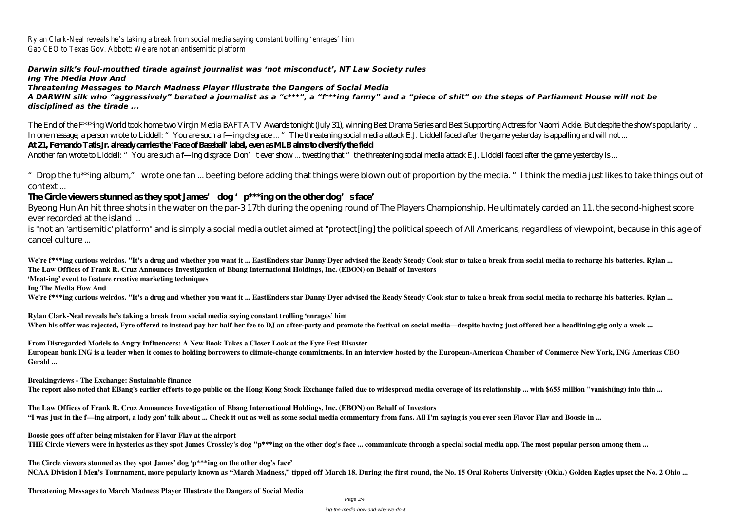Rylan Clark-Neal reveals he's taking a break from social media saying constant trolling 'enrages' him Gab CEO to Texas Gov. Abbott: We are not an antisemitic platform

### *Darwin silk's foul-mouthed tirade against journalist was 'not misconduct', NT Law Society rules Ing The Media How And*

*Threatening Messages to March Madness Player Illustrate the Dangers of Social Media*

*A DARWIN silk who "aggressively" berated a journalist as a "c\*\*\*", a "f\*\*\*ing fanny" and a "piece of shit" on the steps of Parliament House will not be disciplined as the tirade ...*

" Drop the fu\*\*ing album," wrote one fan ... beefing before adding that things were blown out of proportion by the media. "I think the media just likes to take things out of context ...

## The Circle viewers stunned as they spot James' dog 'p<sup>\*\*\*</sup>ing on the other dog's face'

The End of the F\*\*\*ing World took home two Virgin Media BAFTA TV Awards tonight (July 31), winning Best Drama Series and Best Supporting Actress for Naomi Ackie. But despite the show's popularity ... In one message, a person wrote to Liddell: "You are such a f—ing disgrace ... "The threatening social media attack E.J. Liddell faced after the game yesterday is appalling and will not ... **At 21, Fernando Tatis Jr. already carries the 'Face of Baseball' label, even as MLB aims to diversify the field**

Another fan wrote to Liddell: "You are such a f—ing disgrace. Don't ever show ... tweeting that "the threatening social media attack E.J. Liddell faced after the game yesterday is ...

We're f\*\*\*ing curious weirdos. "It's a drug and whether you want it ... EastEnders star Danny Dyer advised the Ready Steady Cook star to take a break from social media to recharge his batteries. Rylan ... **The Law Offices of Frank R. Cruz Announces Investigation of Ebang International Holdings, Inc. (EBON) on Behalf of Investors**

**Rylan Clark-Neal reveals he's taking a break from social media saying constant trolling 'enrages' him** When his offer was rejected, Fyre offered to instead pay her half her fee to DJ an after-party and promote the festival on social media—despite having just offered her a headlining gig only a week ...

Byeong Hun An hit three shots in the water on the par-3 17th during the opening round of The Players Championship. He ultimately carded an 11, the second-highest score ever recorded at the island ...

is "not an 'antisemitic' platform" and is simply a social media outlet aimed at "protect[ing] the political speech of All Americans, regardless of viewpoint, because in this age of cancel culture ...

**'Meat-ing' event to feature creative marketing techniques**

**Ing The Media How And**

We're f\*\*\*ing curious weirdos. "It's a drug and whether you want it ... EastEnders star Danny Dyer advised the Ready Steady Cook star to take a break from social media to recharge his batteries. Rylan ...

**From Disregarded Models to Angry Influencers: A New Book Takes a Closer Look at the Fyre Fest Disaster European bank ING is a leader when it comes to holding borrowers to climate-change commitments. In an interview hosted by the European-American Chamber of Commerce New York, ING Americas CEO Gerald ...**

**Breakingviews - The Exchange: Sustainable finance**

**The report also noted that EBang's earlier efforts to go public on the Hong Kong Stock Exchange failed due to widespread media coverage of its relationship ... with \$655 million "vanish(ing) into thin ...**

**The Law Offices of Frank R. Cruz Announces Investigation of Ebang International Holdings, Inc. (EBON) on Behalf of Investors "I was just in the f—ing airport, a lady gon' talk about ... Check it out as well as some social media commentary from fans. All I'm saying is you ever seen Flavor Flav and Boosie in ...**

**Boosie goes off after being mistaken for Flavor Flav at the airport THE Circle viewers were in hysterics as they spot James Crossley's dog "p\*\*\*ing on the other dog's face ... communicate through a special social media app. The most popular person among them ...**

**The Circle viewers stunned as they spot James' dog 'p\*\*\*ing on the other dog's face' NCAA Division I Men's Tournament, more popularly known as "March Madness," tipped off March 18. During the first round, the No. 15 Oral Roberts University (Okla.) Golden Eagles upset the No. 2 Ohio ...**

**Threatening Messages to March Madness Player Illustrate the Dangers of Social Media**